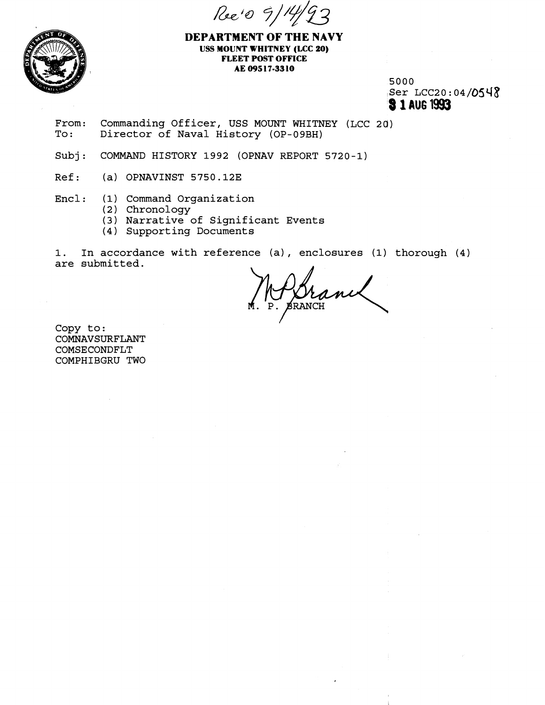Ree's 9/14



**DEPARTMENT OF THE NAVY USS MOUNT WHITNEY (LCC 20) FLEET POST OFFICE AE 095 17-33 10** 

> 5000 Ser LCC20:04/0548 **8 1 AU6** 1993

- From: Commanding Officer, USS MOUNT WHITNEY (LCC 20)<br>To: Director of Naval History (OP-09BH) Director of Naval History (OP-09BH)
- Subj: COMMAND HISTORY 1992 (OPNAV REPORT 5720-1)
- Ref: (a) OPNAVINST 5750.12E

Encl : (1) Command Organization

- ( 2 ) Chronology
- (3) Narrative of Significant Events
- (4) Supporting Documents

**1.** In accordance with reference (a) , enclosures (1) thorough (4) are submitted.

**BRANCH** 

Copy to: COMNAVSURFLANT COMSECONDFLT COMPHIBGRU TWO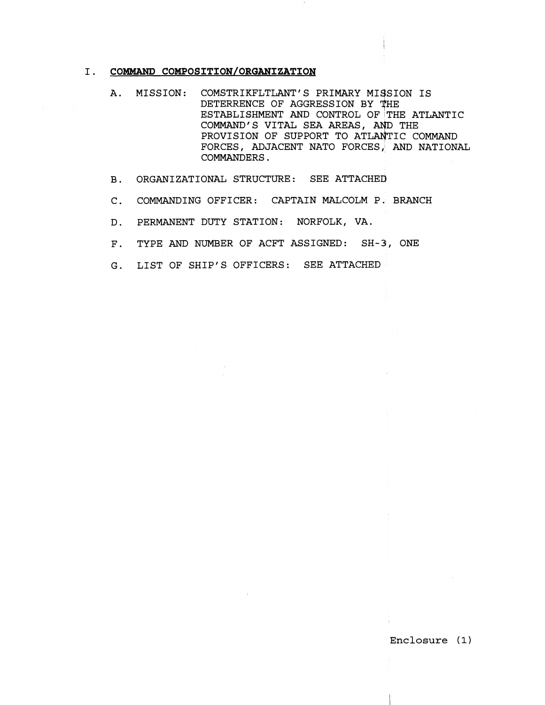### I. COMMAND COMPOSITION/ORGANIZATION

- A. MISSION: COMSTRIKFLTLANT'S PRIMARY MISSION IS DETERRENCE OF AGGRESSION BY THE ESTABLISHMENT AND CONTROL OF THE ATLANTIC COMMAND'S VITAL SEA AREAS, PROVISION OF SUPPORT TO ATLANTIC COMMAND FORCES, ADJACENT NATO FORCES; AND NATIONAL COMMANDERS.
- B. ORGANIZATIONAL STRUCTURE: SEE ATTACHED
- C. COMMANDING OFFICER: CAPTAIN MALCOLM P. BRANCH
- D. PERMANENT DUTY STATION: NORFOLK, VA.
- F. TYPE AND NUMBER OF ACFT ASSIGNED: SH-3, ONE
- G. LIST OF SHIP'S OFFICERS: SEE ATTACHED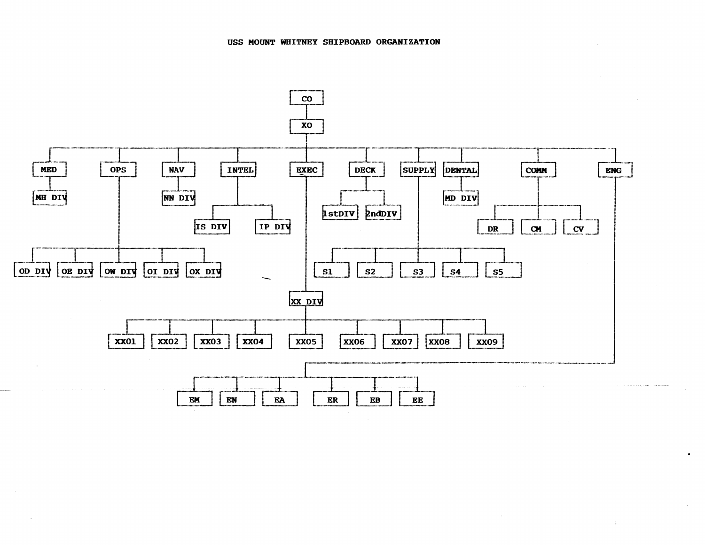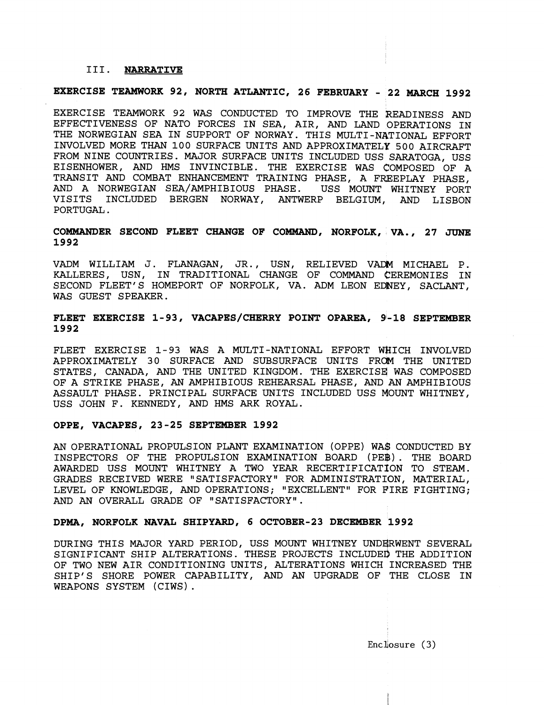#### 111. **NARRATIVE**

## **EXERCISE TEAMWORK 92, NORTH ATXIANTIC, 26 FEBRUARY** - **22 MARCH 1992**

EXERCISE TEAMWORK 92 WAS CONDUCTED TO IMPROVE THE READINESS AND EFFECTIVENESS OF NATO FORCES IN SEA, AIR, AND LAND OPERATIONS IN THE NORWEGIAN SEA IN SUPPORT OF NORWAY. THIS MULTI-NATIONAL EFFORT INVOLVED MORE THAN 100 SURFACE UNITS AND APPROXIMATELY 500 AIRCRAFT FROM NINE COUNTRIES. MAJOR SURFACE UNITS INCLUDED USS SARATOGA, USS EISENHOWER, AND HMS INVINCIBLE. THE EXERCISE WAS COMPOSED OF A TRANSIT AND COMBAT ENHANCEMENT TRAINING PHASE, A FREEPLAY PHASE, AND A NORWEGIAN SEA/AMPHIBIOUS PHASE. USS MOUNT WHITNEY PORT VISITS INCLUDED BERGEN NORWAY, ANTWERP BELGIUM, AND LISBON PORTUGAL.

### **COMMANDER SECOND FLEET CHANGE OF COMMAND, NORFOLK, VA., 27 JUNE 1992**

VADM WILLIAM J. FLANAGAN, JR., USN, RELIEVED VADM MICHAEL P. KALLERES, USN, IN TRADITIONAL CHANGE OF COMMAND CEREMONIES IN SECOND FLEET'S HOMEPORT OF NORFOLK, VA. ADM LEON EDNEY, SACLANT, WAS GUEST SPEAKER,

### FLEET EXERCISE 1-93, VACAPES/CHERRY POINT OPAREA, 9-18 SEPTEMBER **1992**

FLEET EXERCISE 1-93 WAS A MULTI-NATIONAL EFFORT WHICH INVOLVED APPROXIMATELY 30 SURFACE AND SUBSURFACE UNITS FRCM THE UNITED STATES, CANADA, AND THE UNITED KINGDOM. THE EXERCISE WAS COMPOSED OF A STRIKE PHASE, AN AMPHIBIOUS REHEARSAL PHASE, AND AN AMPHIBIOUS ASSAULT PHASE. PRINCIPAL SURFACE UNITS INCLUDED USS MOUNT WHITNEY, USS JOHN F. KENNEDY, AND HMS ARK ROYAL.

#### **OPPE, VACAPES, 23-25 SEPTEMBER 1992**

AN OPERATIONAL PROPULSION PLANT EXAMINATION (OPPE) WA\$ CONDUCTED BY INSPECTORS OF THE PROPULSION EXAMINATION BOARD (PE\$) . THE BOARD AWARDED USS MOUNT WHITNEY A TWO YEAR RECERTIFICATION TO STEAM. GRADES RECEIVED WERE "SATISFACTORY" FOR ADMINISTRATION, MATERIAL, LEVEL OF KNOWLEDGE, AND OPERATIONS; "EXCELLENT" FOR FIRE FIGHTING; AND AN OVERALL GRADE OF "SATISFACTORY".

### **DPMA, NORFOLK NAVAL SHIPYARD, 6 OCTOBER-23 DECEMBER 1992**

DURING THIS MAJOR YARD PERIOD, USS MOUNT WHITNEY UNDERWENT SEVERAL SIGNIFICANT SHIP ALTERATIONS. THESE PROJECTS INCLUDED THE ADDITION OF TWO NEW AIR CONDITIONING UNITS, ALTERATIONS WHICH INCREASED THE SHIP'S SHORE POWER CAPABILITY, AND AN UPGRADE OF THE CLOSE IN WEAPONS SYSTEM (CIWS) .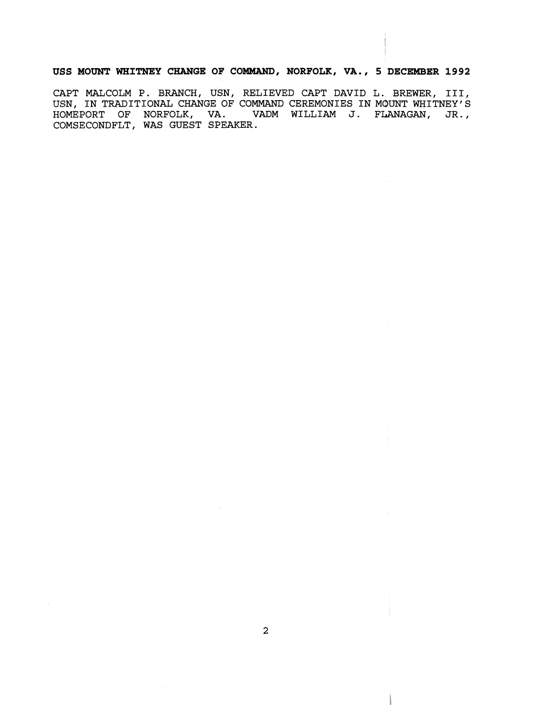### **USS MOUNT WHITNEY CHANGE OF COMMAND, NORFOLK, VA., 5 DECEMBER 1992**

CAPT MALCOLM P. BRANCH, USN, RELIEVED CAPT DAVID L. BREWER, III, USN, IN TRADITIONAL CHANGE OF COMMAND CEREMONIES IN MOUNT WHITNEY'S HOMEPORT OF NORFOLK, VA. VADM WILLIAM J. FLANAGAN, JR., COMSECONDFLT, WAS GUEST SPEAKER.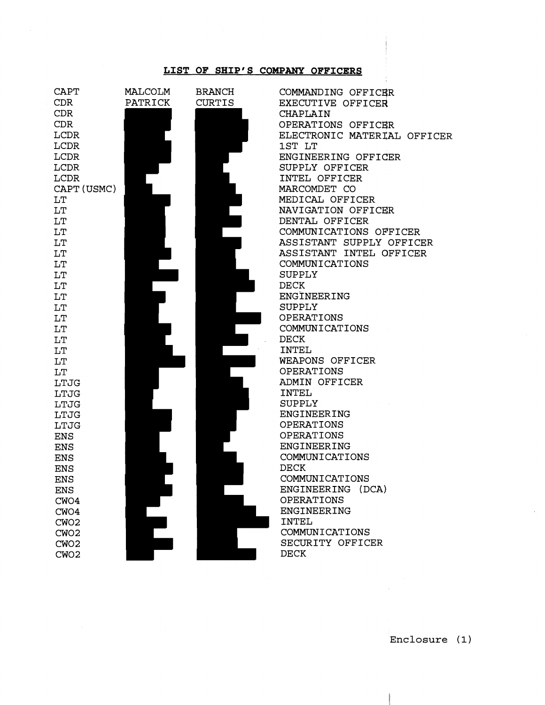### **LIST OF SHIP'S COMPANY OFFICERS**



**Enclosure** ( 1)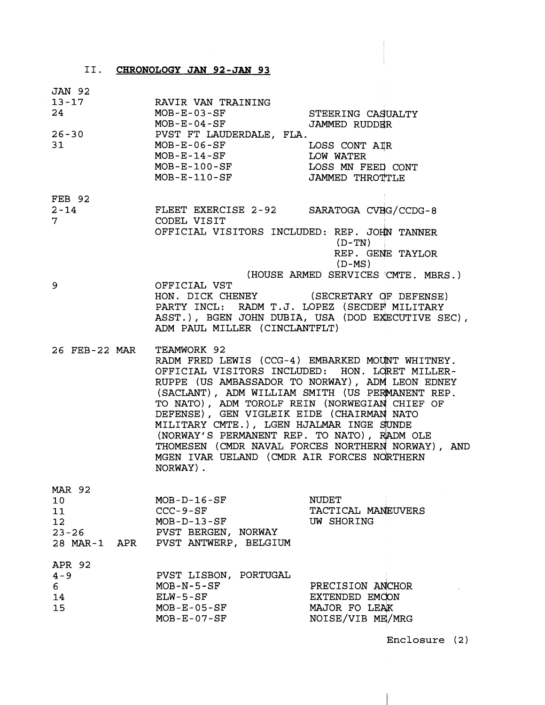# 11. CHRONOLOGY **JAN 92-JAM 93**

JAN 92

| $\frac{13 - 17}{24}$<br>$26 - 30$<br>31      | RAVIR VAN TRAINING<br>MOB-E-03-SF<br>MOB-E-04-SF<br>PVST FT LAUDERDALE, FLA.<br>MOB-E-06-SF<br>MOB-E-14-SF<br>MOB-E-100-SF<br>MOB-E-110-SF                                                                                                                                                                                                                                                                                                                                                                                     | STEERING CASUALTY<br><b>JAMMED RUDDER</b><br>LOSS CONT AIR<br>LOW WATER<br>LOSS MN FEED CONT<br>JAMMED THROTTLE |  |
|----------------------------------------------|--------------------------------------------------------------------------------------------------------------------------------------------------------------------------------------------------------------------------------------------------------------------------------------------------------------------------------------------------------------------------------------------------------------------------------------------------------------------------------------------------------------------------------|-----------------------------------------------------------------------------------------------------------------|--|
| FEB 92<br>$2 - 14$<br>7.                     | FLEET EXERCISE 2-92 SARATOGA CVBG/CCDG-8<br>CODEL VISIT<br>OFFICIAL VISITORS INCLUDED: REP. JOHN TANNER                                                                                                                                                                                                                                                                                                                                                                                                                        | (D-TN)<br>REP. GENE TAYLOR<br>(D-MS)                                                                            |  |
| 9                                            | (HOUSE ARMED SERVICES CMTE. MBRS.)<br>OFFICIAL VST<br>HON. DICK CHENEY (SECRETARY OF DEFENSE)<br>PARTY INCL: RADM T.J. LOPEZ (SECDEF MILITARY<br>ASST.), BGEN JOHN DUBIA, USA (DOD EXECUTIVE SEC),<br>ADM PAUL MILLER (CINCLANTFLT)                                                                                                                                                                                                                                                                                            |                                                                                                                 |  |
| 26 FEB-22 MAR                                | TEAMWORK 92<br>RADM FRED LEWIS (CCG-4) EMBARKED MOUNT WHITNEY.<br>OFFICIAL VISITORS INCLUDED: HON. LORET MILLER-<br>RUPPE (US AMBASSADOR TO NORWAY), ADM LEON EDNEY<br>(SACLANT), ADM WILLIAM SMITH (US PERMANENT REP.<br>TO NATO), ADM TOROLF REIN (NORWEGIAN CHIEF OF<br>DEFENSE), GEN VIGLEIK EIDE (CHAIRMAN NATO<br>MILITARY CMTE.), LGEN HJALMAR INGE SUNDE<br>(NORWAY'S PERMANENT REP. TO NATO), RADM OLE<br>THOMESEN (CMDR NAVAL FORCES NORTHERN NORWAY), AND<br>MGEN IVAR UELAND (CMDR AIR FORCES NORTHERN<br>NORWAY). |                                                                                                                 |  |
| <b>MAR 92</b><br>10<br>11<br>12<br>$23 - 26$ | $MOB-D-16-SF$<br>$CCC-9-SF$<br>$MOB-D-13-SF$<br>PVST BERGEN, NORWAY<br>28 MAR-1 APR PVST ANTWERP, BELGIUM                                                                                                                                                                                                                                                                                                                                                                                                                      | <b>NUDET</b><br>TACTICAL MANEUVERS<br>UW SHORING                                                                |  |
| APR 92<br>$4 - 9$<br>6<br>14<br>15           | PVST LISBON, PORTUGAL<br>$MOB - N - 5 - SF$<br>$ELW-5-SF$<br>$MOB - E - 05 - SF$<br>$MOB - E - 07 - SF$                                                                                                                                                                                                                                                                                                                                                                                                                        | PRECISION ANCHOR<br>EXTENDED EMCON<br>MAJOR FO LEAK<br>NOISE/VIB ME/MRG                                         |  |

**Enclosure (2** )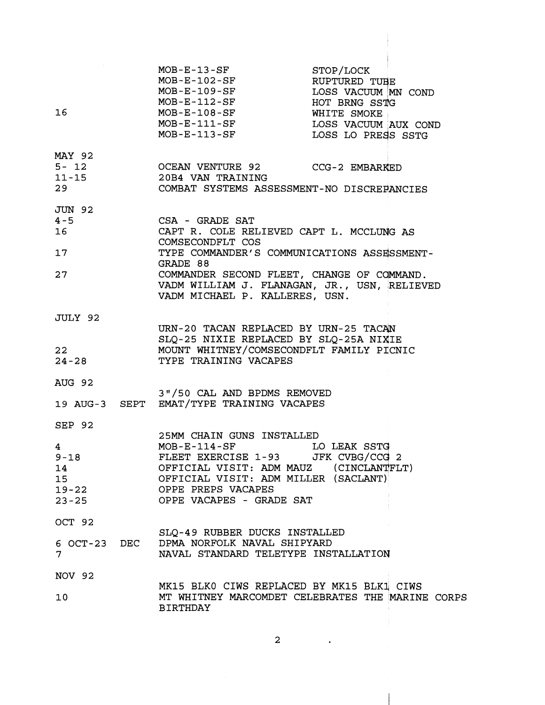| $\sim 10^{-11}$<br>16 <sup>1</sup>                                               | $MOB - E - 13 - SF$<br>MOB-E-102-SF<br>MOB-E-109-SF<br>MOB-E-112-SF<br>$MOB - E - 108 - SF$ WHITE SMOKE<br>MOB-E-111-SF LOSS VACUUM AUX COND<br>MOB-E-113-SF LOSS LO PRESS SSTG                                                                                            | STOP/LOCK<br>RUPTURED TUBE<br>LOSS VACUUM MN COND<br>HOT BRNG SSTG |  |
|----------------------------------------------------------------------------------|----------------------------------------------------------------------------------------------------------------------------------------------------------------------------------------------------------------------------------------------------------------------------|--------------------------------------------------------------------|--|
| MAY 92                                                                           | 29 COMBAT SYSTEMS ASSESSMENT-NO DISCREPANCIES                                                                                                                                                                                                                              |                                                                    |  |
| JUN 92<br>$4 - 5$<br>16<br>17<br>27                                              | CSA - GRADE SAT<br>CAPT R. COLE RELIEVED CAPT L. MCCLUNG AS<br>COMSECONDFLT COS<br>TYPE COMMANDER'S COMMUNICATIONS ASSESSMENT-<br>GRADE 88<br>COMMANDER SECOND FLEET, CHANGE OF COMMAND.<br>VADM WILLIAM J. FLANAGAN, JR., USN, RELIEVED<br>VADM MICHAEL P. KALLERES, USN. |                                                                    |  |
| JULY 92<br>22<br>$24 - 28$                                                       | URN-20 TACAN REPLACED BY URN-25 TACAN<br>SLQ-25 NIXIE REPLACED BY SLQ-25A NIXIE<br>MOUNT WHITNEY/COMSECONDFLT FAMILY PICNIC<br>TYPE TRAINING VACAPES                                                                                                                       |                                                                    |  |
| <b>AUG 92</b>                                                                    | 3"/50 CAL AND BPDMS REMOVED<br>19 AUG-3 SEPT EMAT/TYPE TRAINING VACAPES                                                                                                                                                                                                    |                                                                    |  |
| SEP 92<br>$4\phantom{.0000}\,$<br>$9 - 18$<br>14<br>15<br>$19 - 22$<br>$23 - 25$ | 25MM CHAIN GUNS INSTALLED<br>$MOB - E - 114 - SF$<br>FLEET EXERCISE 1-93 JFK CVBG/CCG 2<br>OFFICIAL VISIT: ADM MAUZ (CINCLANTFLT)<br>OFFICIAL VISIT: ADM MILLER (SACLANT)<br>OPPE PREPS VACAPES<br>OPPE VACAPES - GRADE SAT                                                | LO LEAK SSTG                                                       |  |
| OCT 92<br>6 OCT-23 DEC<br>7                                                      | SLQ-49 RUBBER DUCKS INSTALLED<br>DPMA NORFOLK NAVAL SHIPYARD<br>NAVAL STANDARD TELETYPE INSTALLATION                                                                                                                                                                       |                                                                    |  |
| <b>NOV 92</b><br>10                                                              | MK15 BLK0 CIWS REPLACED BY MK15 BLK1 CIWS<br>MT WHITNEY MARCOMDET CELEBRATES THE MARINE CORPS<br><b>BIRTHDAY</b>                                                                                                                                                           |                                                                    |  |

 $\overline{\mathbf{c}}$ 

 $\ddot{\phantom{a}}$ 

 $\mathfrak{h}$